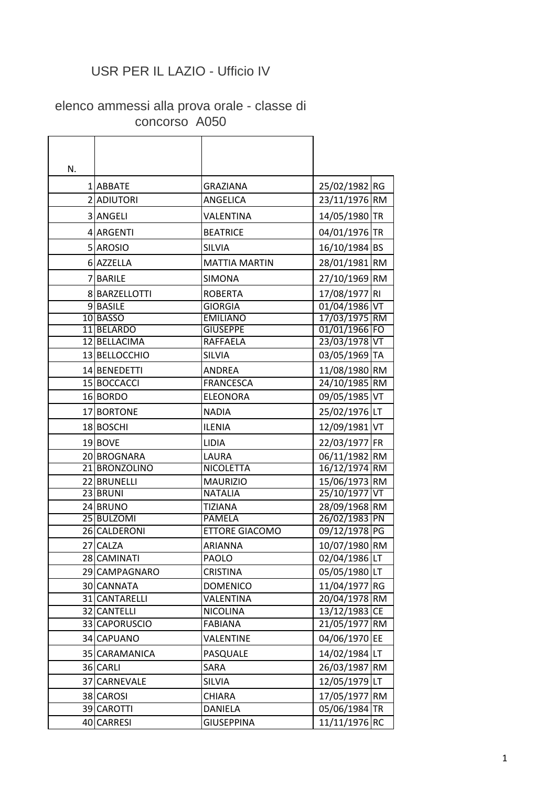## USR PER IL LAZIO - Ufficio IV

## elenco ammessi alla prova orale - classe di concorso A050

| N. |               |                       |               |  |
|----|---------------|-----------------------|---------------|--|
|    | 1 ABBATE      | <b>GRAZIANA</b>       | 25/02/1982 RG |  |
|    | 2 ADIUTORI    | ANGELICA              | 23/11/1976 RM |  |
|    | 3 ANGELI      | VALENTINA             | 14/05/1980 TR |  |
|    | 4 ARGENTI     | <b>BEATRICE</b>       | 04/01/1976 TR |  |
|    | 5 AROSIO      | <b>SILVIA</b>         | 16/10/1984 BS |  |
|    | 6 AZZELLA     | <b>MATTIA MARTIN</b>  | 28/01/1981 RM |  |
|    | 7 BARILE      | <b>SIMONA</b>         | 27/10/1969 RM |  |
|    | 8 BARZELLOTTI | <b>ROBERTA</b>        | 17/08/1977 RI |  |
|    | 9BASILE       | <b>GIORGIA</b>        | 01/04/1986 VT |  |
|    | 10 BASSO      | <b>EMILIANO</b>       | 17/03/1975 RM |  |
|    | 11 BELARDO    | <b>GIUSEPPE</b>       | 01/01/1966 FO |  |
|    | 12 BELLACIMA  | <b>RAFFAELA</b>       | 23/03/1978 VT |  |
|    | 13 BELLOCCHIO | <b>SILVIA</b>         | 03/05/1969 TA |  |
|    | 14 BENEDETTI  | <b>ANDREA</b>         | 11/08/1980 RM |  |
|    | 15 BOCCACCI   | <b>FRANCESCA</b>      | 24/10/1985 RM |  |
|    | 16 BORDO      | <b>ELEONORA</b>       | 09/05/1985 VT |  |
|    | 17 BORTONE    | <b>NADIA</b>          | 25/02/1976 LT |  |
|    | 18 BOSCHI     | <b>ILENIA</b>         | 12/09/1981 VT |  |
|    | 19 BOVE       | <b>LIDIA</b>          | 22/03/1977 FR |  |
|    | 20 BROGNARA   | LAURA                 | 06/11/1982 RM |  |
|    | 21 BRONZOLINO | <b>NICOLETTA</b>      | 16/12/1974 RM |  |
|    | 22 BRUNELLI   | <b>MAURIZIO</b>       | 15/06/1973 RM |  |
|    | 23 BRUNI      | <b>NATALIA</b>        | 25/10/1977 VT |  |
|    | 24 BRUNO      | <b>TIZIANA</b>        | 28/09/1968 RM |  |
|    | 25 BULZOMI    | <b>PAMELA</b>         | 26/02/1983 PN |  |
|    | 26 CALDERONI  | <b>ETTORE GIACOMO</b> | 09/12/1978 PG |  |
|    | 27 CALZA      | <b>ARIANNA</b>        | 10/07/1980 RM |  |
|    | 28 CAMINATI   | PAOLO                 | 02/04/1986 LT |  |
|    | 29 CAMPAGNARO | CRISTINA              | 05/05/1980 LT |  |
|    | 30 CANNATA    | <b>DOMENICO</b>       | 11/04/1977 RG |  |
|    | 31 CANTARELLI | VALENTINA             | 20/04/1978 RM |  |
|    | 32 CANTELLI   | <b>NICOLINA</b>       | 13/12/1983 CE |  |
|    | 33 CAPORUSCIO | <b>FABIANA</b>        | 21/05/1977 RM |  |
|    | 34 CAPUANO    | VALENTINE             | 04/06/1970 EE |  |
|    | 35 CARAMANICA | PASQUALE              | 14/02/1984 LT |  |
|    | 36 CARLI      | SARA                  | 26/03/1987 RM |  |
|    | 37 CARNEVALE  | <b>SILVIA</b>         | 12/05/1979 LT |  |
|    | 38 CAROSI     | CHIARA                | 17/05/1977 RM |  |
|    | 39 CAROTTI    | DANIELA               | 05/06/1984 TR |  |
|    | 40 CARRESI    | <b>GIUSEPPINA</b>     | 11/11/1976 RC |  |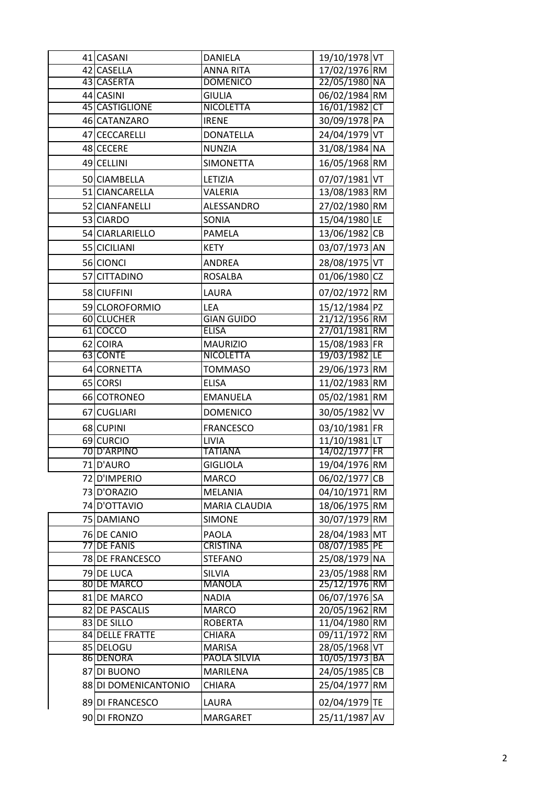| 41 CASANI                      | <b>DANIELA</b>                  | 19/10/1978 VT                  |    |
|--------------------------------|---------------------------------|--------------------------------|----|
| 42 CASELLA                     | <b>ANNA RITA</b>                | 17/02/1976 RM                  |    |
| 43 CASERTA                     | <b>DOMENICO</b>                 | 22/05/1980 NA                  |    |
| 44 CASINI                      | <b>GIULIA</b>                   | 06/02/1984 RM                  |    |
| 45 CASTIGLIONE                 | <b>NICOLETTA</b>                | 16/01/1982 CT                  |    |
| 46 CATANZARO                   | <b>IRENE</b>                    | 30/09/1978 PA                  |    |
| 47 CECCARELLI                  | <b>DONATELLA</b>                | 24/04/1979 VT                  |    |
| 48 CECERE                      | <b>NUNZIA</b>                   | 31/08/1984 NA                  |    |
| 49 CELLINI                     | <b>SIMONETTA</b>                | 16/05/1968 RM                  |    |
| 50 CIAMBELLA                   | LETIZIA                         | 07/07/1981 VT                  |    |
| 51 CIANCARELLA                 | VALERIA                         | 13/08/1983 RM                  |    |
| 52 CIANFANELLI                 | ALESSANDRO                      | 27/02/1980 RM                  |    |
| 53 CIARDO                      | SONIA                           | 15/04/1980 LE                  |    |
| 54 CIARLARIELLO                | <b>PAMELA</b>                   | 13/06/1982 CB                  |    |
| 55 CICILIANI                   | <b>KETY</b>                     | 03/07/1973 AN                  |    |
| 56 CIONCI                      | <b>ANDREA</b>                   | 28/08/1975 VT                  |    |
| 57 CITTADINO                   | <b>ROSALBA</b>                  | 01/06/1980 CZ                  |    |
| 58 CIUFFINI                    | LAURA                           | 07/02/1972 RM                  |    |
| 59 CLOROFORMIO                 | LEA                             | 15/12/1984 PZ                  |    |
| 60 CLUCHER                     | <b>GIAN GUIDO</b>               | 21/12/1956 RM                  |    |
| 61 COCCO                       | <b>ELISA</b>                    | 27/01/1981 RM                  |    |
| 62 COIRA                       | <b>MAURIZIO</b>                 | 15/08/1983 FR                  |    |
| 63 CONTE                       | <b>NICOLETTA</b>                | 19/03/1982 LE                  |    |
| 64 CORNETTA                    | <b>TOMMASO</b>                  | 29/06/1973 RM                  |    |
| 65 CORSI                       | <b>ELISA</b>                    | 11/02/1983 RM                  |    |
| 66 COTRONEO                    | <b>EMANUELA</b>                 | 05/02/1981 RM                  |    |
| 67 CUGLIARI                    | <b>DOMENICO</b>                 | 30/05/1982 VV                  |    |
| 68 CUPINI                      | <b>FRANCESCO</b>                | 03/10/1981 FR                  |    |
| 69 CURCIO                      | <b>LIVIA</b>                    | $11/10/1981$ LT                |    |
| 70 D'ARPINO                    | <b>TATIANA</b>                  | 14/02/1977 FR                  |    |
| 71 D'AURO                      | <b>GIGLIOLA</b>                 | 19/04/1976 RM                  |    |
| 72 D'IMPERIO                   | <b>MARCO</b>                    | 06/02/1977 CB                  |    |
| 73 D'ORAZIO                    | <b>MELANIA</b>                  | 04/10/1971 RM                  |    |
| 74 D'OTTAVIO                   | <b>MARIA CLAUDIA</b>            | 18/06/1975 RM                  |    |
| 75 DAMIANO                     | <b>SIMONE</b>                   | 30/07/1979 RM                  |    |
| 76 DE CANIO                    | <b>PAOLA</b>                    | 28/04/1983 MT                  |    |
| 77 DE FANIS                    | <b>CRISTINA</b>                 | 08/07/1985 PE                  |    |
| 78 DE FRANCESCO                | <b>STEFANO</b>                  | 25/08/1979 NA                  |    |
| 79 DE LUCA                     | <b>SILVIA</b>                   | 23/05/1988 RM                  |    |
| 80 DE MARCO                    | <b>MANOLA</b>                   | 25/12/1976 RM                  |    |
| 81 DE MARCO                    | <b>NADIA</b>                    | 06/07/1976 SA                  |    |
| 82 DE PASCALIS                 | <b>MARCO</b>                    | 20/05/1962 RM                  |    |
| 83 DE SILLO<br>84 DELLE FRATTE | <b>ROBERTA</b><br><b>CHIARA</b> | 11/04/1980 RM<br>09/11/1972 RM |    |
| 85 DELOGU                      | <b>MARISA</b>                   | 28/05/1968 VT                  |    |
| 86 DENORA                      | PAOLA SILVIA                    | 10/05/1973 BA                  |    |
| 87 DI BUONO                    | MARILENA                        | 24/05/1985 CB                  |    |
| 88 DI DOMENICANTONIO           | <b>CHIARA</b>                   | 25/04/1977 RM                  |    |
| 89 DI FRANCESCO                | LAURA                           | 02/04/1979 TE                  |    |
|                                |                                 |                                |    |
| 90 DI FRONZO                   | <b>MARGARET</b>                 | 25/11/1987                     | AV |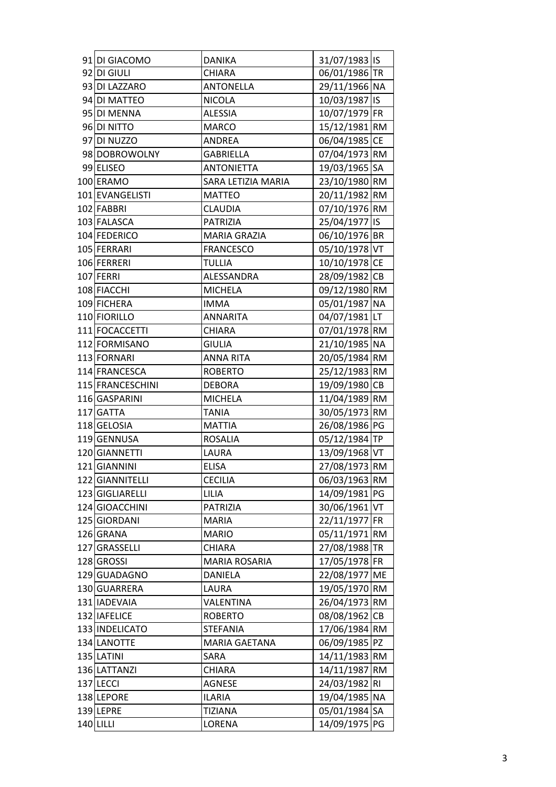| 91 DI GIACOMO    | <b>DANIKA</b>        | 31/07/1983 IS |  |
|------------------|----------------------|---------------|--|
| 92 DI GIULI      | <b>CHIARA</b>        | 06/01/1986 TR |  |
| 93 DI LAZZARO    | <b>ANTONELLA</b>     | 29/11/1966 NA |  |
| 94 DI MATTEO     | <b>NICOLA</b>        | 10/03/1987 IS |  |
| 95 DI MENNA      | <b>ALESSIA</b>       | 10/07/1979 FR |  |
| 96 DI NITTO      | <b>MARCO</b>         | 15/12/1981 RM |  |
| 97 DI NUZZO      | ANDREA               | 06/04/1985 CE |  |
| 98 DOBROWOLNY    | <b>GABRIELLA</b>     | 07/04/1973 RM |  |
| 99 ELISEO        | <b>ANTONIETTA</b>    | 19/03/1965 SA |  |
| 100 ERAMO        | SARA LETIZIA MARIA   | 23/10/1980 RM |  |
| 101 EVANGELISTI  | <b>MATTEO</b>        | 20/11/1982 RM |  |
| 102 FABBRI       | <b>CLAUDIA</b>       | 07/10/1976 RM |  |
| 103 FALASCA      | <b>PATRIZIA</b>      | 25/04/1977 IS |  |
| 104 FEDERICO     | <b>MARIA GRAZIA</b>  | 06/10/1976 BR |  |
| 105 FERRARI      | <b>FRANCESCO</b>     | 05/10/1978 VT |  |
| 106 FERRERI      | <b>TULLIA</b>        | 10/10/1978 CE |  |
| 107 FERRI        | ALESSANDRA           | 28/09/1982 CB |  |
| 108 FIACCHI      | <b>MICHELA</b>       | 09/12/1980 RM |  |
| 109 FICHERA      | <b>IMMA</b>          | 05/01/1987 NA |  |
| 110 FIORILLO     | <b>ANNARITA</b>      | 04/07/1981 LT |  |
| 111 FOCACCETTI   | <b>CHIARA</b>        | 07/01/1978 RM |  |
| 112 FORMISANO    | <b>GIULIA</b>        | 21/10/1985 NA |  |
| 113 FORNARI      | <b>ANNA RITA</b>     | 20/05/1984 RM |  |
| 114 FRANCESCA    | <b>ROBERTO</b>       | 25/12/1983 RM |  |
| 115 FRANCESCHINI | <b>DEBORA</b>        | 19/09/1980 CB |  |
| 116 GASPARINI    | <b>MICHELA</b>       | 11/04/1989 RM |  |
| 117 GATTA        | <b>TANIA</b>         | 30/05/1973 RM |  |
| 118 GELOSIA      | <b>MATTIA</b>        | 26/08/1986 PG |  |
| 119 GENNUSA      | <b>ROSALIA</b>       | 05/12/1984 TP |  |
| 120 GIANNETTI    | LAURA                | 13/09/1968 VT |  |
| 121 GIANNINI     | <b>ELISA</b>         | 27/08/1973 RM |  |
| 122 GIANNITELLI  | <b>CECILIA</b>       | 06/03/1963 RM |  |
| 123 GIGLIARELLI  | LILIA                | 14/09/1981 PG |  |
| 124 GIOACCHINI   | <b>PATRIZIA</b>      | 30/06/1961 VT |  |
| 125 GIORDANI     | <b>MARIA</b>         | 22/11/1977 FR |  |
| 126 GRANA        | <b>MARIO</b>         | 05/11/1971 RM |  |
| 127 GRASSELLI    | CHIARA               | 27/08/1988 TR |  |
| 128 GROSSI       | <b>MARIA ROSARIA</b> | 17/05/1978 FR |  |
| 129 GUADAGNO     | <b>DANIELA</b>       | 22/08/1977 ME |  |
| 130 GUARRERA     | LAURA                | 19/05/1970 RM |  |
| 131 IADEVAIA     | VALENTINA            | 26/04/1973 RM |  |
| 132 IAFELICE     | <b>ROBERTO</b>       | 08/08/1962 CB |  |
| 133 INDELICATO   | <b>STEFANIA</b>      | 17/06/1984 RM |  |
| 134 LANOTTE      | <b>MARIA GAETANA</b> | 06/09/1985 PZ |  |
| 135 LATINI       | SARA                 | 14/11/1983 RM |  |
| 136 LATTANZI     | CHIARA               | 14/11/1987 RM |  |
| 137 LECCI        | <b>AGNESE</b>        | 24/03/1982 RI |  |
| 138 LEPORE       | <b>ILARIA</b>        | 19/04/1985 NA |  |
| 139 LEPRE        | <b>TIZIANA</b>       | 05/01/1984 SA |  |
| 140 LILLI        | LORENA               | 14/09/1975 PG |  |
|                  |                      |               |  |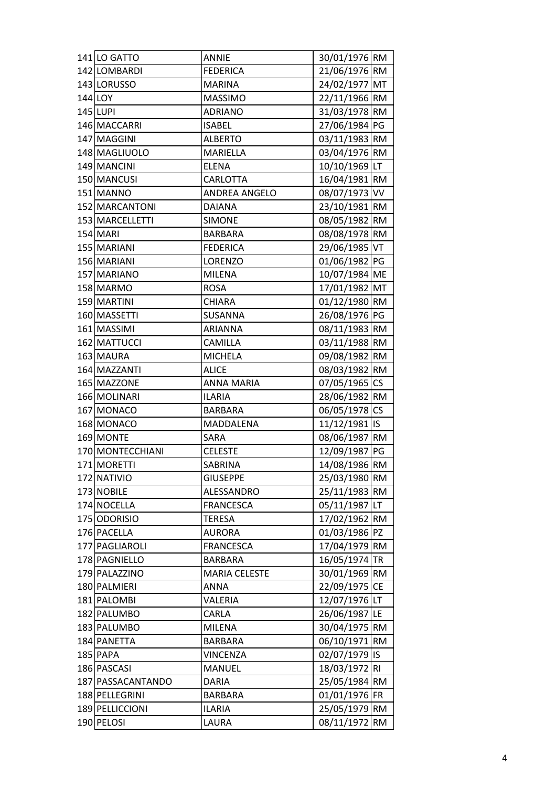| 141 LO GATTO      | <b>ANNIE</b>         | 30/01/1976 RM                  |  |
|-------------------|----------------------|--------------------------------|--|
| 142 LOMBARDI      | <b>FEDERICA</b>      | 21/06/1976 RM                  |  |
| 143 LORUSSO       | <b>MARINA</b>        | 24/02/1977 MT                  |  |
| 144 LOY           | <b>MASSIMO</b>       | 22/11/1966 RM                  |  |
| 145 LUPI          | <b>ADRIANO</b>       | 31/03/1978 RM                  |  |
| 146 MACCARRI      | <b>ISABEL</b>        | 27/06/1984 PG                  |  |
| 147 MAGGINI       | <b>ALBERTO</b>       | 03/11/1983 RM                  |  |
| 148 MAGLIUOLO     | MARIELLA             | 03/04/1976 RM                  |  |
| 149 MANCINI       | <b>ELENA</b>         | 10/10/1969 LT                  |  |
| 150 MANCUSI       | CARLOTTA             | 16/04/1981 RM                  |  |
| 151 MANNO         | ANDREA ANGELO        | 08/07/1973 VV                  |  |
| 152 MARCANTONI    | <b>DAIANA</b>        | 23/10/1981 RM                  |  |
| 153 MARCELLETTI   | <b>SIMONE</b>        | 08/05/1982 RM                  |  |
| 154 MARI          | <b>BARBARA</b>       | 08/08/1978 RM                  |  |
| 155 MARIANI       | <b>FEDERICA</b>      | 29/06/1985 VT                  |  |
| 156 MARIANI       | <b>LORENZO</b>       | 01/06/1982 PG                  |  |
| 157 MARIANO       | <b>MILENA</b>        | 10/07/1984 ME                  |  |
| 158 MARMO         | <b>ROSA</b>          | 17/01/1982 MT                  |  |
| 159 MARTINI       | <b>CHIARA</b>        | 01/12/1980 RM                  |  |
| 160 MASSETTI      | SUSANNA              | 26/08/1976 PG                  |  |
| 161 MASSIMI       | <b>ARIANNA</b>       | 08/11/1983 RM                  |  |
| 162 MATTUCCI      | <b>CAMILLA</b>       | 03/11/1988 RM                  |  |
| 163 MAURA         | <b>MICHELA</b>       | 09/08/1982 RM                  |  |
| 164 MAZZANTI      | <b>ALICE</b>         | 08/03/1982 RM                  |  |
| 165 MAZZONE       | <b>ANNA MARIA</b>    | 07/05/1965 CS                  |  |
| 166 MOLINARI      | <b>ILARIA</b>        | 28/06/1982 RM                  |  |
| 167 MONACO        | <b>BARBARA</b>       | 06/05/1978 CS                  |  |
| 168 MONACO        | MADDALENA            | 11/12/1981 IS                  |  |
| 169 MONTE         | SARA                 | 08/06/1987 RM                  |  |
| 170 MONTECCHIANI  | <b>CELESTE</b>       | 12/09/1987 PG                  |  |
| 171 MORETTI       | <b>SABRINA</b>       | 14/08/1986 RM                  |  |
| 172 NATIVIO       | <b>GIUSEPPE</b>      | 25/03/1980 RM                  |  |
| 173 NOBILE        | ALESSANDRO           | 25/11/1983 RM                  |  |
| 174 NOCELLA       | <b>FRANCESCA</b>     | 05/11/1987 LT                  |  |
| 175 ODORISIO      | <b>TERESA</b>        | 17/02/1962 RM                  |  |
| 176 PACELLA       | <b>AURORA</b>        | 01/03/1986 PZ                  |  |
| 177 PAGLIAROLI    | <b>FRANCESCA</b>     | 17/04/1979 RM                  |  |
| 178 PAGNIELLO     | <b>BARBARA</b>       | 16/05/1974 TR                  |  |
| 179 PALAZZINO     | <b>MARIA CELESTE</b> | 30/01/1969 RM                  |  |
| 180 PALMIERI      | <b>ANNA</b>          | 22/09/1975 CE                  |  |
| 181 PALOMBI       | VALERIA              | 12/07/1976 LT                  |  |
| 182 PALUMBO       | CARLA                | 26/06/1987 LE                  |  |
| 183 PALUMBO       | <b>MILENA</b>        | 30/04/1975 RM                  |  |
| 184 PANETTA       | <b>BARBARA</b>       | 06/10/1971 RM                  |  |
| 185 PAPA          | <b>VINCENZA</b>      | 02/07/1979 IS                  |  |
| 186 PASCASI       | <b>MANUEL</b>        |                                |  |
| 187 PASSACANTANDO | <b>DARIA</b>         | 18/03/1972 RI<br>25/05/1984 RM |  |
| 188 PELLEGRINI    | <b>BARBARA</b>       | 01/01/1976 FR                  |  |
|                   |                      |                                |  |
| 189 PELLICCIONI   | <b>ILARIA</b>        | 25/05/1979 RM                  |  |
| 190 PELOSI        | LAURA                | 08/11/1972 RM                  |  |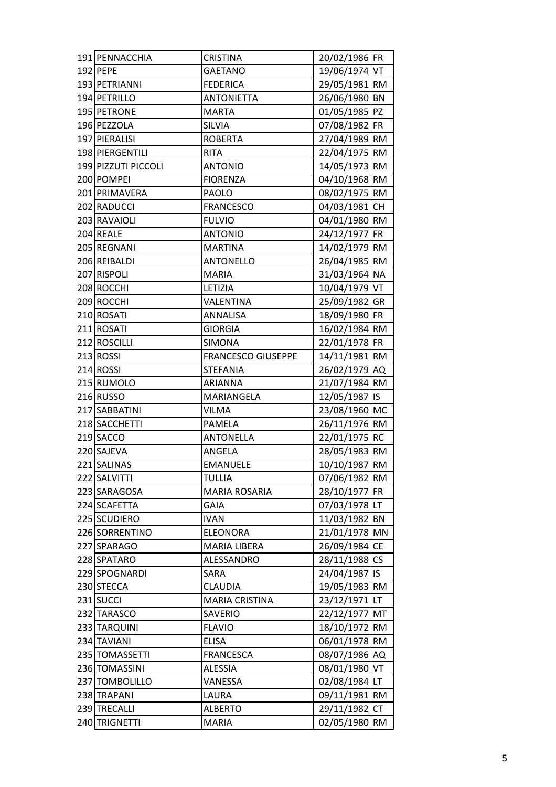| 191 PENNACCHIA      | <b>CRISTINA</b>           | 20/02/1986 FR |           |
|---------------------|---------------------------|---------------|-----------|
| 192 PEPE            | <b>GAETANO</b>            | 19/06/1974 VT |           |
| 193 PETRIANNI       | <b>FEDERICA</b>           | 29/05/1981 RM |           |
| 194 PETRILLO        | <b>ANTONIETTA</b>         | 26/06/1980 BN |           |
| 195 PETRONE         | <b>MARTA</b>              | 01/05/1985 PZ |           |
| 196 PEZZOLA         | <b>SILVIA</b>             | 07/08/1982 FR |           |
| 197 PIERALISI       | <b>ROBERTA</b>            | 27/04/1989 RM |           |
| 198 PIERGENTILI     | <b>RITA</b>               | 22/04/1975 RM |           |
| 199 PIZZUTI PICCOLI | <b>ANTONIO</b>            | 14/05/1973 RM |           |
| 200 POMPEI          | <b>FIORENZA</b>           | 04/10/1968 RM |           |
| 201 PRIMAVERA       | <b>PAOLO</b>              | 08/02/1975 RM |           |
| 202 RADUCCI         | <b>FRANCESCO</b>          | 04/03/1981 CH |           |
| 203 RAVAIOLI        | <b>FULVIO</b>             | 04/01/1980 RM |           |
| 204 REALE           | <b>ANTONIO</b>            | 24/12/1977 FR |           |
| 205 REGNANI         | <b>MARTINA</b>            | 14/02/1979 RM |           |
| 206 REIBALDI        | <b>ANTONELLO</b>          | 26/04/1985 RM |           |
| 207 RISPOLI         | <b>MARIA</b>              | 31/03/1964 NA |           |
| 208 ROCCHI          | LETIZIA                   | 10/04/1979 VT |           |
| 209 ROCCHI          | VALENTINA                 | 25/09/1982 GR |           |
| 210 ROSATI          | ANNALISA                  | 18/09/1980 FR |           |
| 211 ROSATI          | <b>GIORGIA</b>            | 16/02/1984 RM |           |
| 212 ROSCILLI        | <b>SIMONA</b>             | 22/01/1978 FR |           |
| 213 ROSSI           | <b>FRANCESCO GIUSEPPE</b> | 14/11/1981 RM |           |
| 214 ROSSI           | <b>STEFANIA</b>           | 26/02/1979 AQ |           |
| 215 RUMOLO          | <b>ARIANNA</b>            | 21/07/1984 RM |           |
| 216 RUSSO           | MARIANGELA                | 12/05/1987 IS |           |
| 217 SABBATINI       | <b>VILMA</b>              | 23/08/1960 MC |           |
| 218 SACCHETTI       | <b>PAMELA</b>             | 26/11/1976 RM |           |
| 219 SACCO           | <b>ANTONELLA</b>          | 22/01/1975 RC |           |
| 220 SAJEVA          | ANGELA                    | 28/05/1983 RM |           |
| 221 SALINAS         | <b>EMANUELE</b>           | 10/10/1987 RM |           |
| 222 SALVITTI        | <b>TULLIA</b>             | 07/06/1982 RM |           |
| 223 SARAGOSA        | <b>MARIA ROSARIA</b>      | 28/10/1977 FR |           |
| 224 SCAFETTA        | <b>GAIA</b>               | 07/03/1978 LT |           |
| 225 SCUDIERO        | <b>IVAN</b>               | 11/03/1982 BN |           |
| 226 SORRENTINO      | <b>ELEONORA</b>           | 21/01/1978 MN |           |
| 227 SPARAGO         | MARIA LIBERA              | 26/09/1984 CE |           |
| 228 SPATARO         | ALESSANDRO                | 28/11/1988 CS |           |
| 229 SPOGNARDI       | SARA                      | 24/04/1987 IS |           |
| 230 STECCA          | <b>CLAUDIA</b>            | 19/05/1983 RM |           |
| 231 SUCCI           | <b>MARIA CRISTINA</b>     | 23/12/1971 LT |           |
| 232 TARASCO         | SAVERIO                   | 22/12/1977 MT |           |
| 233 TARQUINI        | <b>FLAVIO</b>             | 18/10/1972 RM |           |
| 234 TAVIANI         | <b>ELISA</b>              | 06/01/1978 RM |           |
| 235 TOMASSETTI      | <b>FRANCESCA</b>          | 08/07/1986 AQ |           |
| 236 TOMASSINI       | ALESSIA                   | 08/01/1980 VT |           |
| 237 TOMBOLILLO      | VANESSA                   | 02/08/1984 LT |           |
| 238 TRAPANI         | LAURA                     | 09/11/1981 RM |           |
| 239 TRECALLI        | <b>ALBERTO</b>            | 29/11/1982    | <b>CT</b> |
| 240 TRIGNETTI       | <b>MARIA</b>              | 02/05/1980 RM |           |
|                     |                           |               |           |